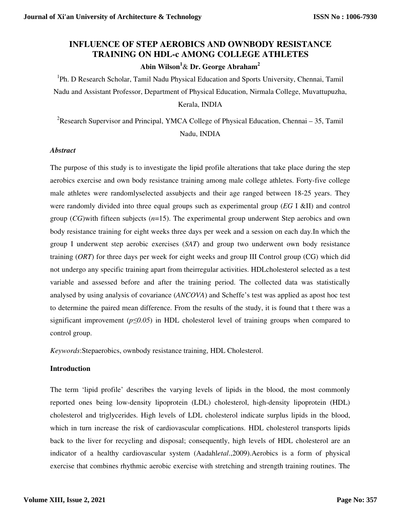# **INFLUENCE OF STEP AEROBICS AND OWNBODY RESISTANCE TRAINING ON HDL-c AMONG COLLEGE ATHLETES**

**Abin Wilson<sup>1</sup>**& **Dr. George Abraham<sup>2</sup>**

<sup>1</sup>Ph. D Research Scholar, Tamil Nadu Physical Education and Sports University, Chennai, Tamil Nadu and Assistant Professor, Department of Physical Education, Nirmala College, Muvattupuzha, Kerala, INDIA

<sup>2</sup>Research Supervisor and Principal, YMCA College of Physical Education, Chennai  $-35$ , Tamil Nadu, INDIA

## *Abstract*

The purpose of this study is to investigate the lipid profile alterations that take place during the step aerobics exercise and own body resistance training among male college athletes. Forty-five college male athletes were randomlyselected assubjects and their age ranged between 18-25 years. They were randomly divided into three equal groups such as experimental group (*EG* I &II) and control group (*CG*)with fifteen subjects (*n*=15). The experimental group underwent Step aerobics and own body resistance training for eight weeks three days per week and a session on each day.In which the group I underwent step aerobic exercises (*SAT*) and group two underwent own body resistance training (*ORT*) for three days per week for eight weeks and group III Control group (CG) which did not undergo any specific training apart from theirregular activities. HDLcholesterol selected as a test variable and assessed before and after the training period. The collected data was statistically analysed by using analysis of covariance (*ANCOVA*) and Scheffe's test was applied as apost hoc test to determine the paired mean difference. From the results of the study, it is found that t there was a significant improvement (*p≤0.05*) in HDL cholesterol level of training groups when compared to control group.

*Keywords*:Stepaerobics, ownbody resistance training, HDL Cholesterol.

## **Introduction**

The term 'lipid profile' describes the varying levels of lipids in the blood, the most commonly reported ones being low-density lipoprotein (LDL) cholesterol, high-density lipoprotein (HDL) cholesterol and triglycerides. High levels of LDL cholesterol indicate surplus lipids in the blood, which in turn increase the risk of cardiovascular complications. HDL cholesterol transports lipids back to the liver for recycling and disposal; consequently, high levels of HDL cholesterol are an indicator of a healthy cardiovascular system (Aadahl*etal*.,2009).Aerobics is a form of physical exercise that combines rhythmic aerobic exercise with stretching and strength training routines. The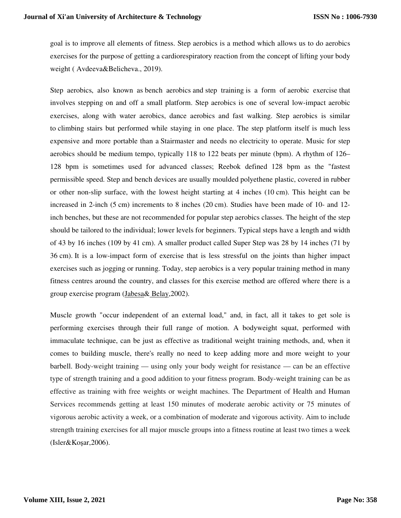goal is to improve all elements of fitness. Step aerobics is a method which allows us to do aerobics exercises for the purpose of getting a cardiorespiratory reaction from the concept of lifting your body weight ( Avdeeva&Belicheva., 2019).

Step aerobics, also known as bench aerobics and step training is a form of aerobic exercise that involves stepping on and off a small platform. Step aerobics is one of several low-impact aerobic exercises, along with water aerobics, dance aerobics and fast walking. Step aerobics is similar to climbing stairs but performed while staying in one place. The step platform itself is much less expensive and more portable than a Stairmaster and needs no electricity to operate. Music for step aerobics should be medium tempo, typically 118 to 122 beats per minute (bpm). A rhythm of 126– 128 bpm is sometimes used for advanced classes; Reebok defined 128 bpm as the "fastest permissible speed. Step and bench devices are usually moulded polyethene plastic, covered in rubber or other non-slip surface, with the lowest height starting at 4 inches (10 cm). This height can be increased in 2-inch (5 cm) increments to 8 inches (20 cm). Studies have been made of 10- and 12 inch benches, but these are not recommended for popular step aerobics classes. The height of the step should be tailored to the individual; lower levels for beginners. Typical steps have a length and width of 43 by 16 inches (109 by 41 cm). A smaller product called Super Step was 28 by 14 inches (71 by 36 cm). It is a low-impact form of exercise that is less stressful on the joints than higher impact exercises such as jogging or running. Today, step aerobics is a very popular training method in many fitness centres around the country, and classes for this exercise method are offered where there is a group exercise program (Jabesa& Belay,2002).

Muscle growth "occur independent of an external load," and, in fact, all it takes to get sole is performing exercises through their full range of motion. A bodyweight squat, performed with immaculate technique, can be just as effective as traditional weight training methods, and, when it comes to building muscle, there's really no need to keep adding more and more weight to your barbell. Body-weight training — using only your body weight for resistance — can be an effective type of strength training and a good addition to your fitness program. Body-weight training can be as effective as training with free weights or weight machines. The Department of Health and Human Services recommends getting at least 150 minutes of moderate aerobic activity or 75 minutes of vigorous aerobic activity a week, or a combination of moderate and vigorous activity. Aim to include strength training exercises for all major muscle groups into a fitness routine at least two times a week (Isler&Koşar,2006).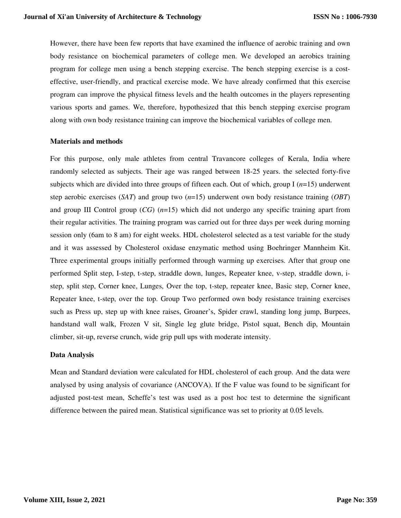However, there have been few reports that have examined the influence of aerobic training and own body resistance on biochemical parameters of college men. We developed an aerobics training program for college men using a bench stepping exercise. The bench stepping exercise is a costeffective, user-friendly, and practical exercise mode. We have already confirmed that this exercise program can improve the physical fitness levels and the health outcomes in the players representing various sports and games. We, therefore, hypothesized that this bench stepping exercise program along with own body resistance training can improve the biochemical variables of college men.

#### **Materials and methods**

For this purpose, only male athletes from central Travancore colleges of Kerala, India where randomly selected as subjects. Their age was ranged between 18-25 years. the selected forty-five subjects which are divided into three groups of fifteen each. Out of which, group I (*n*=15) underwent step aerobic exercises (*SAT*) and group two (*n*=15) underwent own body resistance training (*OBT*) and group III Control group (*CG*) (*n*=15) which did not undergo any specific training apart from their regular activities. The training program was carried out for three days per week during morning session only (6am to 8 am) for eight weeks. HDL cholesterol selected as a test variable for the study and it was assessed by Cholesterol oxidase enzymatic method using Boehringer Mannheim Kit. Three experimental groups initially performed through warming up exercises. After that group one performed Split step, I-step, t-step, straddle down, lunges, Repeater knee, v-step, straddle down, istep, split step, Corner knee, Lunges, Over the top, t-step, repeater knee, Basic step, Corner knee, Repeater knee, t-step, over the top. Group Two performed own body resistance training exercises such as Press up, step up with knee raises, Groaner's, Spider crawl, standing long jump, Burpees, handstand wall walk, Frozen V sit, Single leg glute bridge, Pistol squat, Bench dip, Mountain climber, sit-up, reverse crunch, wide grip pull ups with moderate intensity.

#### **Data Analysis**

Mean and Standard deviation were calculated for HDL cholesterol of each group. And the data were analysed by using analysis of covariance (ANCOVA). If the F value was found to be significant for adjusted post-test mean, Scheffe's test was used as a post hoc test to determine the significant difference between the paired mean. Statistical significance was set to priority at 0.05 levels.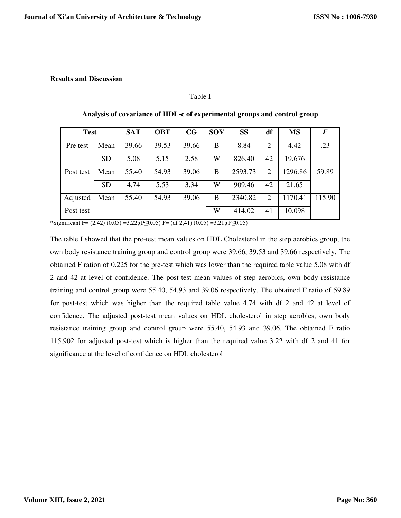#### **Results and Discussion**

#### Table I

| <b>Test</b> |           | <b>SAT</b> | <b>OBT</b> | CG    | <b>SOV</b> | <b>SS</b> | df | <b>MS</b> | $\bm{F}$ |
|-------------|-----------|------------|------------|-------|------------|-----------|----|-----------|----------|
| Pre test    | Mean      | 39.66      | 39.53      | 39.66 | B          | 8.84      | 2  | 4.42      | .23      |
|             | <b>SD</b> | 5.08       | 5.15       | 2.58  | W          | 826.40    | 42 | 19.676    |          |
| Post test   | Mean      | 55.40      | 54.93      | 39.06 | B          | 2593.73   | 2  | 1296.86   | 59.89    |
|             | <b>SD</b> | 4.74       | 5.53       | 3.34  | W          | 909.46    | 42 | 21.65     |          |
| Adjusted    | Mean      | 55.40      | 54.93      | 39.06 | B          | 2340.82   | 2  | 1170.41   | 115.90   |
| Post test   |           |            |            |       | W          | 414.02    | 41 | 10.098    |          |

#### **Analysis of covariance of HDL-c of experimental groups and control group**

\*Significant F= (2,42) (0.05) =3.22;(P≤0.05) F= (df 2,41) (0.05) =3.21;(P≤0.05)

The table I showed that the pre-test mean values on HDL Cholesterol in the step aerobics group, the own body resistance training group and control group were 39.66, 39.53 and 39.66 respectively. The obtained F ration of 0.225 for the pre-test which was lower than the required table value 5.08 with df 2 and 42 at level of confidence. The post-test mean values of step aerobics, own body resistance training and control group were 55.40, 54.93 and 39.06 respectively. The obtained F ratio of 59.89 for post-test which was higher than the required table value 4.74 with df 2 and 42 at level of confidence. The adjusted post-test mean values on HDL cholesterol in step aerobics, own body resistance training group and control group were 55.40, 54.93 and 39.06. The obtained F ratio 115.902 for adjusted post-test which is higher than the required value 3.22 with df 2 and 41 for significance at the level of confidence on HDL cholesterol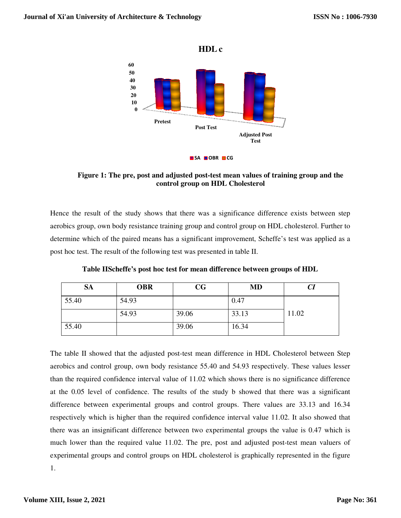

Figure 1: The pre, post and adjusted post-test mean values of training group and the **control group on HDL Cholesterol** 

Hence the result of the study shows that there was a significance difference exists between step Hence the result of the study shows that there was a significance difference exists between step aerobics group, own body resistance training group and control group on HDL cholesterol. Further to determine which of the pa determine which of the paired means has a significant improvement, Scheffe's test post hoc test. The result of the following test was presented in table II.

| Table IIScheffe's post hoc test for mean difference between groups of HDL |            |             |       |       |  |  |  |  |  |
|---------------------------------------------------------------------------|------------|-------------|-------|-------|--|--|--|--|--|
| <b>SA</b>                                                                 | <b>OBR</b> | $_{\rm CG}$ | MD    |       |  |  |  |  |  |
| 55.40                                                                     | 54.93      |             | 0.47  |       |  |  |  |  |  |
|                                                                           | 54.93      | 39.06       | 33.13 | 11.02 |  |  |  |  |  |
| 55.40                                                                     |            | 39.06       | 16.34 |       |  |  |  |  |  |

The table II showed that the adjusted post-test mean difference in HDL Cholesterol between Step The table II showed that the adjusted post-test mean difference in HDL Cholesterol between Step aerobics and control group, own body resistance 55.40 and 54.93 respectively. These values lesser than the required confidence interval value of 11.02 which shows there is no significance difference at the 0.05 level of confidence. The results of the study b showed that there was a significant difference between experimental groups and control groups. There values are 33.13 and 16.34 respectively which is higher than the required confidence interval value 11.02. It also showed that there was an insignificant difference between two experimental groups the value is 0.47 which is much lower than the required value 11.02. The pre, post and adjusted post-test experimental groups and control groups on HDL cholesterol is graphically represented in the figure 1. study b showed that there was a significant<br>I groups. There values are 33.13 and 16.34<br>ence interval value 11.02. It also showed that<br>perimental groups the value is 0.47 which is<br>post and adjusted post-test mean valuers of DL is **Journal of Xi'an University of Architecture & Technology**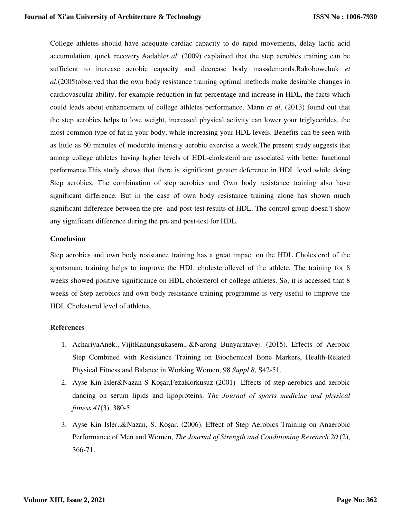College athletes should have adequate cardiac capacity to do rapid movements, delay lactic acid accumulation, quick recovery.Aadahl*et al*. (2009) explained that the step aerobics training can be sufficient to increase aerobic capacity and decrease body massdemands.Rakobowchuk *et al*.(2005)observed that the own body resistance training optimal methods make desirable changes in cardiovascular ability, for example reduction in fat percentage and increase in HDL, the facts which could leads about enhancement of college athletes'performance. Mann *et al*. (2013) found out that the step aerobics helps to lose weight, increased physical activity can lower your triglycerides, the most common type of fat in your body, while increasing your HDL levels. Benefits can be seen with as little as 60 minutes of moderate intensity aerobic exercise a week.The present study suggests that among college athletes having higher levels of HDL-cholesterol are associated with better functional performance.This study shows that there is significant greater deference in HDL level while doing Step aerobics. The combination of step aerobics and Own body resistance training also have significant difference. But in the case of own body resistance training alone has shown much significant difference between the pre- and post-test results of HDL. The control group doesn't show any significant difference during the pre and post-test for HDL.

## **Conclusion**

Step aerobics and own body resistance training has a great impact on the HDL Cholesterol of the sportsman; training helps to improve the HDL cholesterollevel of the athlete. The training for 8 weeks showed positive significance on HDL cholesterol of college athletes. So, it is accessed that 8 weeks of Step aerobics and own body resistance training programme is very useful to improve the HDL Cholesterol level of athletes.

## **References**

- 1. AchariyaAnek., VijitKanungsukasem., &Narong Bunyaratavej. (2015). Effects of Aerobic Step Combined with Resistance Training on Biochemical Bone Markers, Health-Related Physical Fitness and Balance in Working Women, 98 *Suppl 8*, S42-51.
- 2. Ayse Kin Isler&Nazan S Koşar,FezaKorkusuz (2001) Effects of step aerobics and aerobic dancing on serum lipids and lipoproteins. *The Journal of sports medicine and physical fitness 41*(3), 380-5
- 3. Ayse Kin Isler.,&Nazan, S. Koşar. (2006). Effect of Step Aerobics Training on Anaerobic Performance of Men and Women, *The Journal of Strength and Conditioning Research 20 (2)*, 366-71.